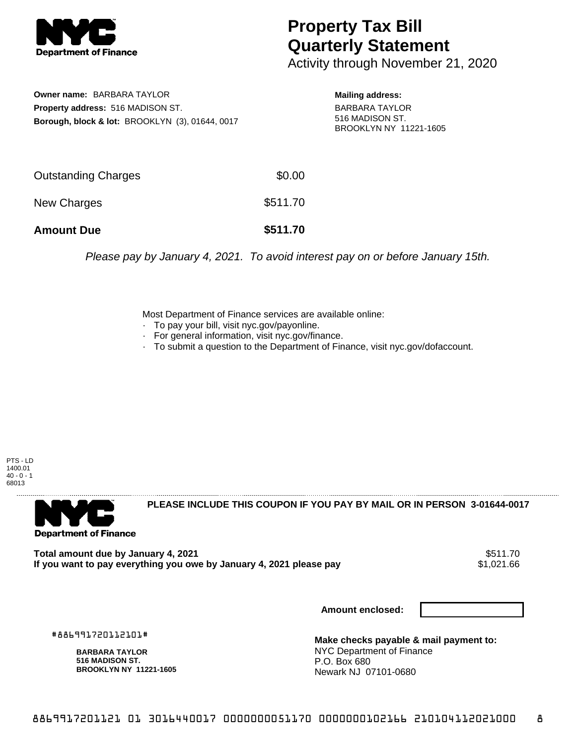

## **Property Tax Bill Quarterly Statement**

Activity through November 21, 2020

**Owner name:** BARBARA TAYLOR **Property address:** 516 MADISON ST. **Borough, block & lot:** BROOKLYN (3), 01644, 0017 **Mailing address:** BARBARA TAYLOR 516 MADISON ST. BROOKLYN NY 11221-1605

| <b>Amount Due</b>          | \$511.70 |
|----------------------------|----------|
| New Charges                | \$511.70 |
| <b>Outstanding Charges</b> | \$0.00   |

Please pay by January 4, 2021. To avoid interest pay on or before January 15th.

Most Department of Finance services are available online:

- · To pay your bill, visit nyc.gov/payonline.
- For general information, visit nyc.gov/finance.
- · To submit a question to the Department of Finance, visit nyc.gov/dofaccount.

PTS - LD 1400.01  $40 - 0 - 1$ 68013



**PLEASE INCLUDE THIS COUPON IF YOU PAY BY MAIL OR IN PERSON 3-01644-0017** 

**Total amount due by January 4, 2021** \$511.70 If you want to pay everything you owe by January 4, 2021 please pay

**Amount enclosed:**

#886991720112101#

**BARBARA TAYLOR 516 MADISON ST. BROOKLYN NY 11221-1605**

**Make checks payable & mail payment to:** NYC Department of Finance P.O. Box 680 Newark NJ 07101-0680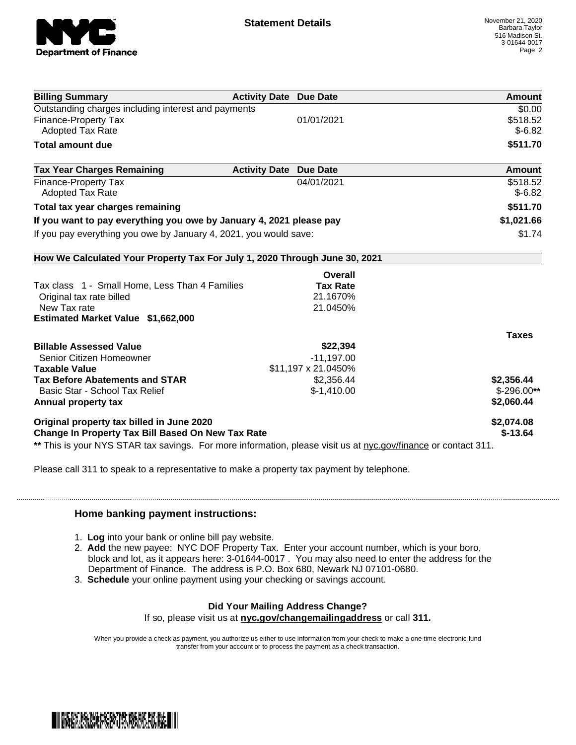

| <b>Billing Summary</b>                                                                                         | <b>Activity Date Due Date</b>           | Amount       |
|----------------------------------------------------------------------------------------------------------------|-----------------------------------------|--------------|
| Outstanding charges including interest and payments                                                            |                                         | \$0.00       |
| Finance-Property Tax                                                                                           | 01/01/2021                              | \$518.52     |
| <b>Adopted Tax Rate</b>                                                                                        |                                         | $$-6.82$     |
| <b>Total amount due</b>                                                                                        |                                         | \$511.70     |
| <b>Tax Year Charges Remaining</b>                                                                              | <b>Activity Date</b><br><b>Due Date</b> | Amount       |
| Finance-Property Tax                                                                                           | 04/01/2021                              | \$518.52     |
| <b>Adopted Tax Rate</b>                                                                                        |                                         | $$-6.82$     |
| Total tax year charges remaining                                                                               |                                         | \$511.70     |
| If you want to pay everything you owe by January 4, 2021 please pay                                            |                                         | \$1,021.66   |
| If you pay everything you owe by January 4, 2021, you would save:                                              |                                         | \$1.74       |
| How We Calculated Your Property Tax For July 1, 2020 Through June 30, 2021                                     |                                         |              |
|                                                                                                                | Overall                                 |              |
| Tax class 1 - Small Home, Less Than 4 Families                                                                 | <b>Tax Rate</b>                         |              |
| Original tax rate billed                                                                                       | 21.1670%                                |              |
| New Tax rate                                                                                                   | 21.0450%                                |              |
| Estimated Market Value \$1,662,000                                                                             |                                         |              |
|                                                                                                                |                                         | <b>Taxes</b> |
| <b>Billable Assessed Value</b>                                                                                 | \$22,394                                |              |
| Senior Citizen Homeowner                                                                                       | $-11,197.00$                            |              |
| <b>Taxable Value</b>                                                                                           | \$11,197 x 21.0450%                     |              |
| <b>Tax Before Abatements and STAR</b>                                                                          | \$2,356.44                              | \$2,356.44   |
| Basic Star - School Tax Relief                                                                                 | $$-1,410.00$                            | $$-296.00**$ |
| Annual property tax                                                                                            |                                         | \$2,060.44   |
| Original property tax billed in June 2020                                                                      |                                         | \$2,074.08   |
| <b>Change In Property Tax Bill Based On New Tax Rate</b>                                                       |                                         | $$-13.64$    |
| ** This is your NYS STAR tax savings. For more information, please visit us at nyc.gov/finance or contact 311. |                                         |              |

Please call 311 to speak to a representative to make a property tax payment by telephone.

## **Home banking payment instructions:**

- 1. **Log** into your bank or online bill pay website.
- 2. **Add** the new payee: NYC DOF Property Tax. Enter your account number, which is your boro, block and lot, as it appears here: 3-01644-0017 . You may also need to enter the address for the Department of Finance. The address is P.O. Box 680, Newark NJ 07101-0680.
- 3. **Schedule** your online payment using your checking or savings account.

## **Did Your Mailing Address Change?**

If so, please visit us at **nyc.gov/changemailingaddress** or call **311.**

When you provide a check as payment, you authorize us either to use information from your check to make a one-time electronic fund transfer from your account or to process the payment as a check transaction.